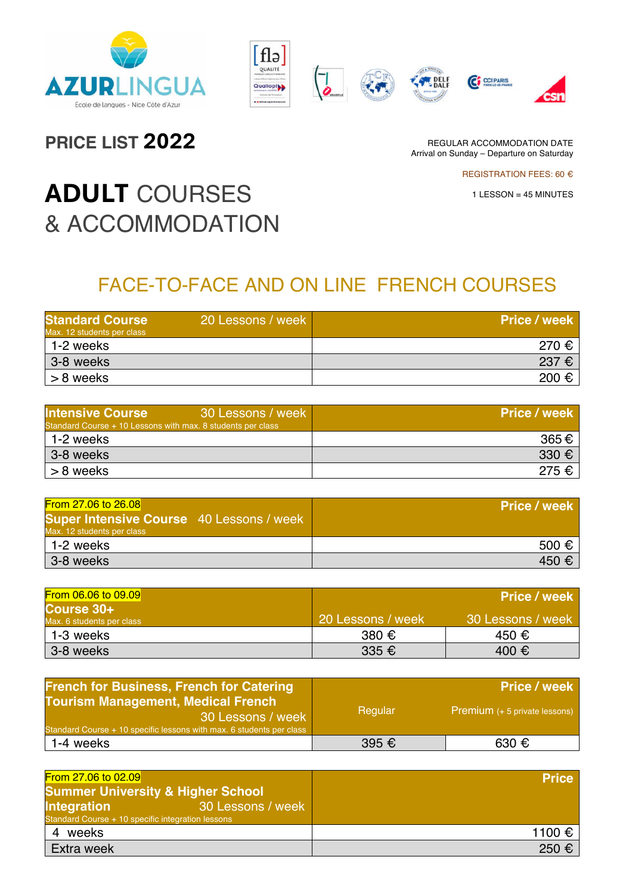









**PRICE LIST 2022**

REGULAR ACCOMMODATION DATE Arrival on Sunday – Departure on Saturday

REGISTRATION FEES: 60 €

1 LESSON = 45 MINUTES

# **ADULT** COURSES & ACCOMMODATION

## FACE-TO-FACE AND ON LINE FRENCH COURSES

| <b>Standard Course</b><br>Max. 12 students per class | 20 Lessons / week | <b>Price / week</b> |
|------------------------------------------------------|-------------------|---------------------|
| 1-2 weeks                                            |                   | 270 €               |
| 3-8 weeks                                            |                   | $237 \epsilon$      |
| > 8 weeks                                            |                   | 200 €               |

| <b>Intensive Course</b><br>30 Lessons / week<br>Standard Course + 10 Lessons with max. 8 students per class | <b>Price / week</b> |
|-------------------------------------------------------------------------------------------------------------|---------------------|
| 1-2 weeks                                                                                                   | 365€                |
| 3-8 weeks                                                                                                   | 330 $\epsilon$      |
| > 8 weeks                                                                                                   | $275 \in$           |

| From 27.06 to 26.08                                                           | Price / week   |
|-------------------------------------------------------------------------------|----------------|
| <b>Super Intensive Course</b> 40 Lessons / week<br>Max. 12 students per class |                |
| 1-2 weeks                                                                     | $500 \in$      |
| 3-8 weeks                                                                     | $450 \epsilon$ |

| From 06.06 to 09.09                     |                   | <b>Price / week</b> |
|-----------------------------------------|-------------------|---------------------|
| Course 30+<br>Max. 6 students per class | 20 Lessons / week | 30 Lessons / week   |
| 1-3 weeks                               | 380 $\epsilon$    | 450 €               |
| 3-8 weeks                               | 335 $\epsilon$    | 400 €               |

| <b>French for Business, French for Catering</b>                                                                                        |         | <b>Price / week</b>                  |
|----------------------------------------------------------------------------------------------------------------------------------------|---------|--------------------------------------|
| <b>Tourism Management, Medical French</b><br>30 Lessons / week<br>Standard Course + 10 specific lessons with max. 6 students per class | Regular | <b>Premium</b> (+ 5 private lessons) |
| 1-4 weeks                                                                                                                              | 395 €   | 630 €                                |

| From 27.06 to 02.09                                                                          | <b>Price</b> |
|----------------------------------------------------------------------------------------------|--------------|
| <b>Summer University &amp; Higher School</b>                                                 |              |
| 30 Lessons / week<br><b>Integration</b><br>Standard Course + 10 specific integration lessons |              |
| weeks<br>4                                                                                   | 1100 €       |
| Extra week                                                                                   | 250 €        |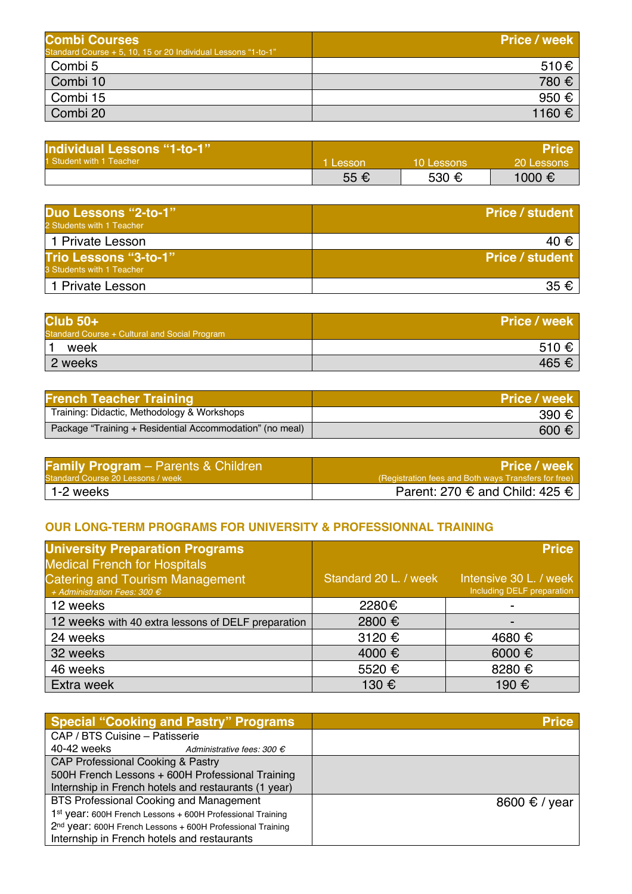| <b>Combi Courses</b>                                          | <b>Price / week</b> |
|---------------------------------------------------------------|---------------------|
| Standard Course + 5, 10, 15 or 20 Individual Lessons "1-to-1" |                     |
| Combi 5                                                       | 510€                |
| Combi 10                                                      | 780 €               |
| Combi 15                                                      | 950 €               |
| Combi 20                                                      | 1160 €              |

| <b>Individual Lessons "1-to-1"</b> |        |            | <b>Price</b> |
|------------------------------------|--------|------------|--------------|
| 1 Student with 1 Teacher           | Lesson | 10 Lessons | 20 Lessons   |
|                                    | 55 €   | 530 €      | 1000 €       |

| Duo Lessons "2-to-1"<br>2 Students with 1 Teacher         | <b>Price / student</b> |
|-----------------------------------------------------------|------------------------|
| 1 Private Lesson                                          | 40 €                   |
| <b>Trio Lessons "3-to-1"</b><br>3 Students with 1 Teacher | <b>Price / student</b> |
| 1 Private Lesson                                          | 35 $\epsilon$          |

| $Club$ 50+                                    | <b>Price / week</b> |
|-----------------------------------------------|---------------------|
| Standard Course + Cultural and Social Program |                     |
| week                                          | 510 €               |
| 2 weeks                                       | 465 €               |

| <b>French Teacher Training</b>                           | <b>Price / week</b> |
|----------------------------------------------------------|---------------------|
| Training: Didactic, Methodology & Workshops              | 390 €               |
| Package "Training + Residential Accommodation" (no meal) | $600 \text{ } \in$  |

| <b>Family Program</b> – Parents & Children | <b>Price / week</b>                                  |
|--------------------------------------------|------------------------------------------------------|
| Standard Course 20 Lessons / week 1        | (Registration fees and Both ways Transfers for free) |
| 1-2 weeks                                  | Parent: 270 $\epsilon$ and Child: 425 $\epsilon$     |

#### **OUR LONG-TERM PROGRAMS FOR UNIVERSITY & PROFESSIONNAL TRAINING**

| <b>University Preparation Programs</b><br><b>Medical French for Hospitals</b>   |                       | <b>Price</b>                                         |
|---------------------------------------------------------------------------------|-----------------------|------------------------------------------------------|
| <b>Catering and Tourism Management</b><br>+ Administration Fees: 300 $\epsilon$ | Standard 20 L. / week | Intensive 30 L. / week<br>Including DELF preparation |
| 12 weeks                                                                        | 2280€                 |                                                      |
| 12 weeks with 40 extra lessons of DELF preparation                              | 2800 €                | -                                                    |
| 24 weeks                                                                        | 3120 €                | 4680 €                                               |
| 32 weeks                                                                        | 4000 €                | 6000 €                                               |
| 46 weeks                                                                        | 5520 €                | 8280 €                                               |
| Extra week                                                                      | 130 €                 | 190 €                                                |

| <b>Special "Cooking and Pastry" Programs</b>               | <b>Price</b>           |
|------------------------------------------------------------|------------------------|
| CAP / BTS Cuisine - Patisserie                             |                        |
| 40-42 weeks<br>Administrative fees: 300 $\epsilon$         |                        |
| <b>CAP Professional Cooking &amp; Pastry</b>               |                        |
| 500H French Lessons + 600H Professional Training           |                        |
| Internship in French hotels and restaurants (1 year)       |                        |
| <b>BTS Professional Cooking and Management</b>             | 8600 $\epsilon$ / year |
| 1st year: 600H French Lessons + 600H Professional Training |                        |
| 2nd year: 600H French Lessons + 600H Professional Training |                        |
| Internship in French hotels and restaurants                |                        |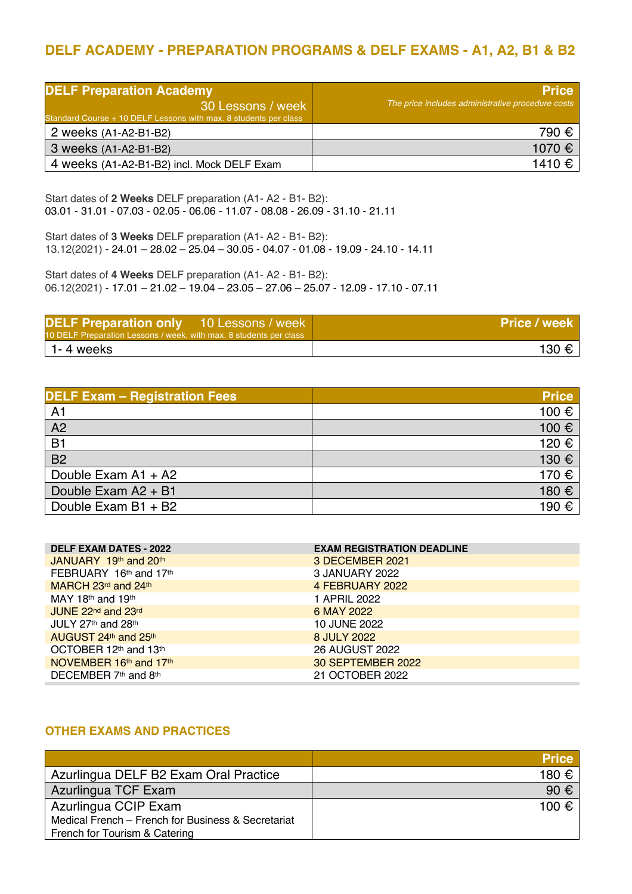### **DELF ACADEMY - PREPARATION PROGRAMS & DELF EXAMS - A1, A2, B1 & B2**

| <b>DELF Preparation Academy</b><br>30 Lessons / week<br>Standard Course + 10 DELF Lessons with max. 8 students per class | <b>Price</b><br>The price includes administrative procedure costs |
|--------------------------------------------------------------------------------------------------------------------------|-------------------------------------------------------------------|
| 2 weeks (A1-A2-B1-B2)                                                                                                    | 790 €                                                             |
| 3 weeks (A1-A2-B1-B2)                                                                                                    | 1070 €                                                            |
| 4 weeks (A1-A2-B1-B2) incl. Mock DELF Exam                                                                               | 1410 €                                                            |

Start dates of **2 Weeks** DELF preparation (A1- A2 - B1- B2): 03.01 - 31.01 - 07.03 - 02.05 - 06.06 - 11.07 - 08.08 - 26.09 - 31.10 - 21.11

Start dates of **3 Weeks** DELF preparation (A1- A2 - B1- B2): 13.12(2021) - 24.01 – 28.02 – 25.04 – 30.05 - 04.07 - 01.08 - 19.09 - 24.10 - 14.11

Start dates of **4 Weeks** DELF preparation (A1- A2 - B1- B2): 06.12(2021) - 17.01 – 21.02 – 19.04 – 23.05 – 27.06 – 25.07 - 12.09 - 17.10 - 07.11

| <b>DELF Preparation only</b> 10 Lessons / week<br>10 DELF Preparation Lessons / week, with max. 8 students per class | <b>Price / week</b> |
|----------------------------------------------------------------------------------------------------------------------|---------------------|
| 1-4 weeks                                                                                                            | 130 € I             |

| <b>DELF Exam - Registration Fees</b> | <b>Price</b> |
|--------------------------------------|--------------|
| A <sub>1</sub>                       | 100 €        |
| A2                                   | 100€         |
| B <sub>1</sub>                       | 120 €        |
| $\overline{B2}$                      | 130 €        |
| Double Exam A1 + A2                  | 170 €        |
| Double Exam A2 + B1                  | 180 €        |
| Double Exam B1 + B2                  | 190 €        |

| <b>DELF EXAM DATES - 2022</b> | <b>EXAM REGISTRATION DEADLINE</b> |
|-------------------------------|-----------------------------------|
| JANUARY $19th$ and $20th$     | 3 DECEMBER 2021                   |
| FEBRUARY 16th and 17th        | 3 JANUARY 2022                    |
| MARCH 23 $rd$ and 24 $th$     | 4 FEBRUARY 2022                   |
| MAY 18th and 19th             | 1 APRIL 2022                      |
| JUNE 22nd and 23rd            | 6 MAY 2022                        |
| JULY 27th and 28th            | 10 JUNE 2022                      |
| AUGUST $24th$ and $25th$      | 8 JULY 2022                       |
| OCTOBER 12th and 13th         | 26 AUGUST 2022                    |
| NOVEMBER 16th and 17th        | 30 SEPTEMBER 2022                 |
| DECEMBER 7th and 8th          | 21 OCTOBER 2022                   |

#### **OTHER EXAMS AND PRACTICES**

|                                                    | <b>Price</b>  |
|----------------------------------------------------|---------------|
| Azurlingua DELF B2 Exam Oral Practice              | 180 €         |
| Azurlingua TCF Exam                                | 90 $\epsilon$ |
| Azurlingua CCIP Exam                               | 100 €         |
| Medical French - French for Business & Secretariat |               |
| French for Tourism & Catering                      |               |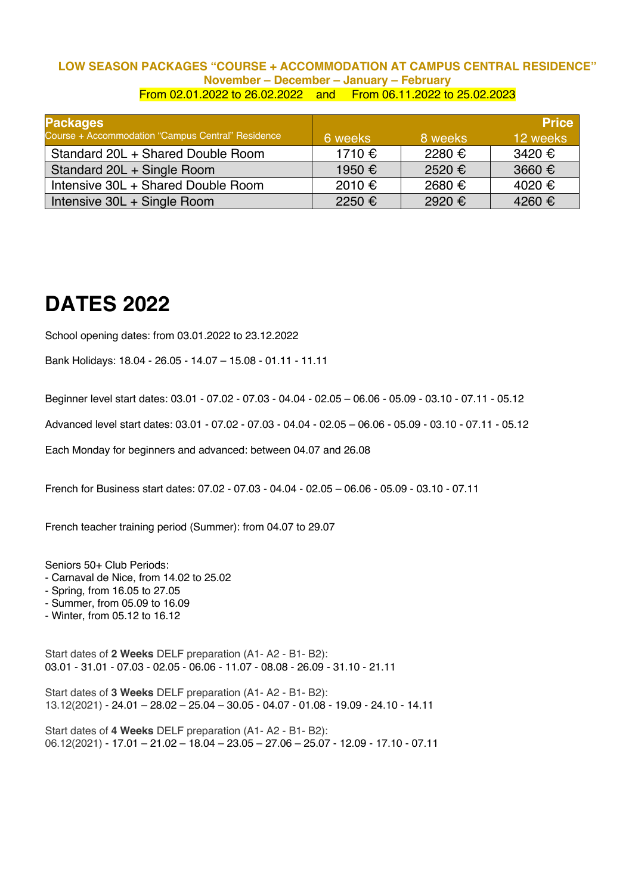#### **LOW SEASON PACKAGES "COURSE + ACCOMMODATION AT CAMPUS CENTRAL RESIDENCE" November – December – January – February** From 02.01.2022 to 26.02.2022 and From 06.11.2022 to 25.02.2023

| <b>Packages</b>                                   |         |         | <b>Price</b> |
|---------------------------------------------------|---------|---------|--------------|
| Course + Accommodation "Campus Central" Residence | 6 weeks | 8 weeks | 12 weeks     |
| Standard 20L + Shared Double Room                 | 1710 €  | 2280 €  | 3420 €       |
| Standard 20L + Single Room                        | 1950 €  | 2520€   | 3660 €       |
| Intensive 30L + Shared Double Room                | 2010 €  | 2680 €  | 4020 €       |
| Intensive 30L + Single Room                       | 2250 €  | 2920 €  | 4260€        |

### **DATES 2022**

School opening dates: from 03.01.2022 to 23.12.2022

Bank Holidays: 18.04 - 26.05 - 14.07 – 15.08 - 01.11 - 11.11

Beginner level start dates: 03.01 - 07.02 - 07.03 - 04.04 - 02.05 – 06.06 - 05.09 - 03.10 - 07.11 - 05.12

Advanced level start dates: 03.01 - 07.02 - 07.03 - 04.04 - 02.05 – 06.06 - 05.09 - 03.10 - 07.11 - 05.12

Each Monday for beginners and advanced: between 04.07 and 26.08

French for Business start dates: 07.02 - 07.03 - 04.04 - 02.05 – 06.06 - 05.09 - 03.10 - 07.11

French teacher training period (Summer): from 04.07 to 29.07

Seniors 50+ Club Periods:

- Carnaval de Nice, from 14.02 to 25.02
- Spring, from 16.05 to 27.05
- Summer, from 05.09 to 16.09
- Winter, from 05.12 to 16.12

Start dates of **2 Weeks** DELF preparation (A1- A2 - B1- B2): 03.01 - 31.01 - 07.03 - 02.05 - 06.06 - 11.07 - 08.08 - 26.09 - 31.10 - 21.11

Start dates of **3 Weeks** DELF preparation (A1- A2 - B1- B2): 13.12(2021) - 24.01 – 28.02 – 25.04 – 30.05 - 04.07 - 01.08 - 19.09 - 24.10 - 14.11

Start dates of **4 Weeks** DELF preparation (A1- A2 - B1- B2): 06.12(2021) - 17.01 – 21.02 – 18.04 – 23.05 – 27.06 – 25.07 - 12.09 - 17.10 - 07.11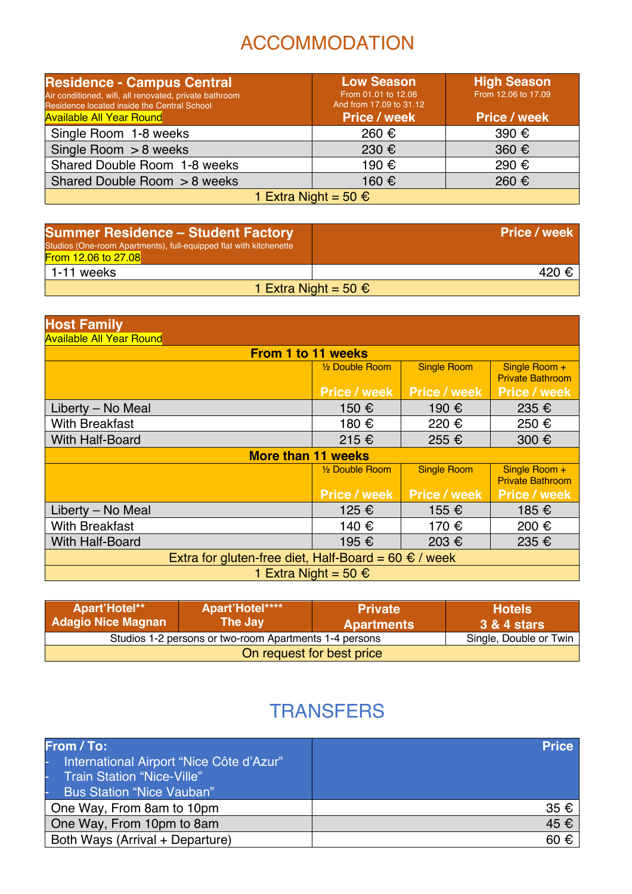## ACCOMMODATION

| <b>Residence - Campus Central</b><br>Air conditioned, wifi, all renovated, private bathroom<br>Residence located inside the Central School<br><b>Available All Year Round</b> | <b>Low Season</b><br>From 01.01 to 12.06<br>And from 17.09 to 31.12<br><b>Price / week</b> | <b>High Season</b><br>From 12.06 to 17.09<br><b>Price / week</b> |  |
|-------------------------------------------------------------------------------------------------------------------------------------------------------------------------------|--------------------------------------------------------------------------------------------|------------------------------------------------------------------|--|
| Single Room 1-8 weeks                                                                                                                                                         | 260 €                                                                                      | 390 €                                                            |  |
| Single Room $> 8$ weeks                                                                                                                                                       | 230 €                                                                                      | 360 $\epsilon$                                                   |  |
| Shared Double Room 1-8 weeks                                                                                                                                                  | 190 €                                                                                      | 290 €                                                            |  |
| Shared Double Room > 8 weeks                                                                                                                                                  | 160 €                                                                                      | 260 €                                                            |  |
| 1 Extra Night = 50 €                                                                                                                                                          |                                                                                            |                                                                  |  |

| <b>Summer Residence - Student Factory</b><br>Studios (One-room Apartments), full-equipped flat with kitchenette<br>From 12.06 to 27.08 | Price / week         |
|----------------------------------------------------------------------------------------------------------------------------------------|----------------------|
| 1-11 weeks                                                                                                                             | 420 €                |
|                                                                                                                                        | 1 Extra Night = 50 € |

| <b>Host Family</b>                                                |                             |                     |                                          |  |
|-------------------------------------------------------------------|-----------------------------|---------------------|------------------------------------------|--|
| <b>Available All Year Round</b>                                   |                             |                     |                                          |  |
| <b>From 1 to 11 weeks</b>                                         |                             |                     |                                          |  |
|                                                                   | 1/2 Double Room             | <b>Single Room</b>  | Single Room +<br><b>Private Bathroom</b> |  |
|                                                                   | <b>Price / week</b>         | <b>Price / week</b> | <b>Price / week</b>                      |  |
| Liberty – No Meal                                                 | 150 €                       | 190 €               | 235 €                                    |  |
| <b>With Breakfast</b>                                             | 180 €                       | 220 €               | 250 €                                    |  |
| With Half-Board                                                   | 215 €                       | 255 €               | 300 €                                    |  |
| <b>More than 11 weeks</b>                                         |                             |                     |                                          |  |
|                                                                   | 1/ <sub>2</sub> Double Room | <b>Single Room</b>  | Single Room +<br><b>Private Bathroom</b> |  |
| <b>Price / week</b><br><b>Price / week</b><br><b>Price / week</b> |                             |                     |                                          |  |
| Liberty - No Meal                                                 | 125 €                       | 155 €               | 185 €                                    |  |
| <b>With Breakfast</b>                                             | 140 €                       | 170 €               | 200 €                                    |  |
| <b>With Half-Board</b>                                            | 195 €                       | 203 €               | 235 €                                    |  |
| Extra for gluten-free diet, Half-Board = 60 $\epsilon$ / week     |                             |                     |                                          |  |
| 1 Extra Night = 50 €                                              |                             |                     |                                          |  |

| Apart'Hotel**<br><b>Adagio Nice Magnan</b> | Apart'Hotel****<br>The Jay                             | l Private <sup>i</sup><br><b>Apartments</b> | <b>Hotels</b><br>3 & 4 stars |
|--------------------------------------------|--------------------------------------------------------|---------------------------------------------|------------------------------|
|                                            | Studios 1-2 persons or two-room Apartments 1-4 persons |                                             | Single, Double or Twin       |
| On request for best price                  |                                                        |                                             |                              |

## **TRANSFERS**

| From / To:<br>International Airport "Nice Côte d'Azur"<br><b>Train Station "Nice-Ville"</b><br><b>Bus Station "Nice Vauban"</b> | <b>Price</b>      |
|---------------------------------------------------------------------------------------------------------------------------------|-------------------|
| One Way, From 8am to 10pm                                                                                                       | 35 €              |
| One Way, From 10pm to 8am                                                                                                       | 45 €              |
| Both Ways (Arrival + Departure)                                                                                                 | $60 \text{ } \in$ |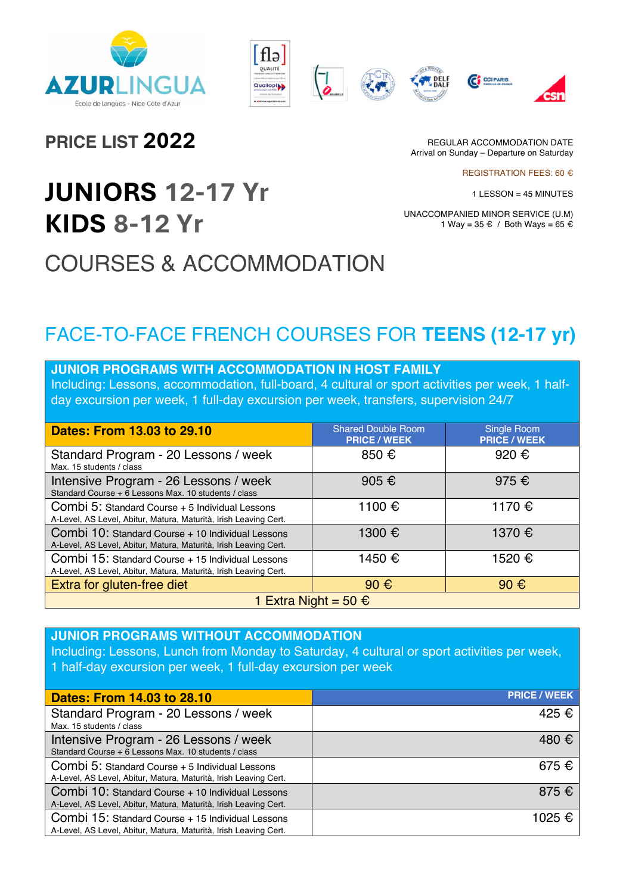









**PRICE LIST 2022**

REGULAR ACCOMMODATION DATE Arrival on Sunday – Departure on Saturday

REGISTRATION FEES: 60 €

1 LESSON = 45 MINUTES

UNACCOMPANIED MINOR SERVICE (U.M) 1 Way = 35 € / Both Ways = 65 €

# **JUNIORS 12-17 Yr KIDS 8-12 Yr** COURSES & ACCOMMODATION

# FACE-TO-FACE FRENCH COURSES FOR **TEENS (12-17 yr)**

| <b>JUNIOR PROGRAMS WITH ACCOMMODATION IN HOST FAMILY</b>                                                        |  |  |
|-----------------------------------------------------------------------------------------------------------------|--|--|
| the chealth and the concentration of career and categories full has conditive and more than concentration of th |  |  |

Including: Lessons, accommodation, full-board, 4 cultural or sport activities per week, 1 halfday excursion per week, 1 full-day excursion per week, transfers, supervision 24/7

| Dates: From 13.03 to 29.10                                                                                            | <b>Shared Double Room</b><br><b>PRICE / WEEK</b> | Single Room<br><b>PRICE / WEEK</b> |
|-----------------------------------------------------------------------------------------------------------------------|--------------------------------------------------|------------------------------------|
| Standard Program - 20 Lessons / week<br>Max. 15 students / class                                                      | 850 €                                            | 920 €                              |
| Intensive Program - 26 Lessons / week<br>Standard Course + 6 Lessons Max. 10 students / class                         | 905 $\epsilon$                                   | 975 €                              |
| Combi 5: Standard Course + 5 Individual Lessons<br>A-Level, AS Level, Abitur, Matura, Maturità, Irish Leaving Cert.   | 1100 €                                           | 1170 €                             |
| Combi 10: Standard Course + 10 Individual Lessons<br>A-Level, AS Level, Abitur, Matura, Maturità, Irish Leaving Cert. | 1300 €                                           | 1370 €                             |
| Combi 15: Standard Course + 15 Individual Lessons<br>A-Level, AS Level, Abitur, Matura, Maturità, Irish Leaving Cert. | 1450 €                                           | 1520 €                             |
| Extra for gluten-free diet                                                                                            | 90 $\epsilon$                                    | $90 \text{ } \in$                  |
| 1 Extra Night = 50 €                                                                                                  |                                                  |                                    |

**JUNIOR PROGRAMS WITHOUT ACCOMMODATION**  Including: Lessons, Lunch from Monday to Saturday, 4 cultural or sport activities per week, 1 half-day excursion per week, 1 full-day excursion per week

| <b>Dates: From 14.03 to 28.10</b>                                                                                     | <b>PRICE / WEEK</b> |
|-----------------------------------------------------------------------------------------------------------------------|---------------------|
| Standard Program - 20 Lessons / week<br>Max. 15 students / class                                                      | 425 €               |
| Intensive Program - 26 Lessons / week<br>Standard Course + 6 Lessons Max, 10 students / class                         | 480 €               |
| Combi 5: Standard Course + 5 Individual Lessons<br>A-Level, AS Level, Abitur, Matura, Maturità, Irish Leaving Cert.   | $675 \text{ } \in$  |
| Combi 10: Standard Course + 10 Individual Lessons<br>A-Level, AS Level, Abitur, Matura, Maturità, Irish Leaving Cert. | 875 $\epsilon$      |
| Combi 15: Standard Course + 15 Individual Lessons<br>A-Level, AS Level, Abitur, Matura, Maturità, Irish Leaving Cert. | 1025 €              |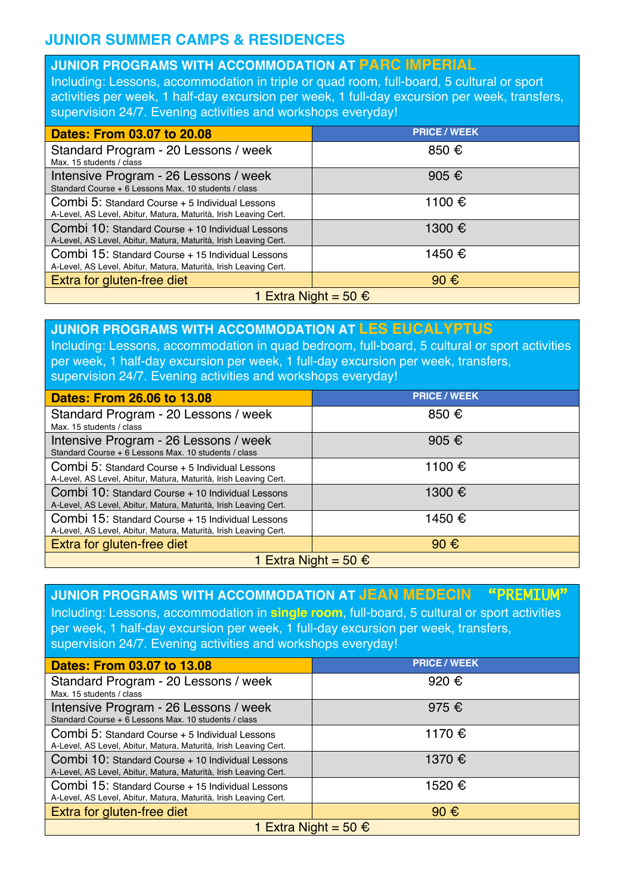### **JUNIOR SUMMER CAMPS & RESIDENCES**

#### **JUNIOR PROGRAMS WITH ACCOMMODATION AT PARC IMPERIAL**

Including: Lessons, accommodation in triple or quad room, full-board, 5 cultural or sport activities per week, 1 half-day excursion per week, 1 full-day excursion per week, transfers, supervision 24/7. Evening activities and workshops everyday!

| <b>Dates: From 03.07 to 20.08</b>                                                                                     | <b>PRICE / WEEK</b> |  |
|-----------------------------------------------------------------------------------------------------------------------|---------------------|--|
| Standard Program - 20 Lessons / week<br>Max. 15 students / class                                                      | 850 €               |  |
| Intensive Program - 26 Lessons / week<br>Standard Course + 6 Lessons Max. 10 students / class                         | 905 €               |  |
| Combi 5: Standard Course + 5 Individual Lessons<br>A-Level, AS Level, Abitur, Matura, Maturità, Irish Leaving Cert.   | 1100 €              |  |
| Combi 10: Standard Course + 10 Individual Lessons<br>A-Level, AS Level, Abitur, Matura, Maturità, Irish Leaving Cert. | 1300 €              |  |
| Combi 15: Standard Course + 15 Individual Lessons<br>A-Level, AS Level, Abitur, Matura, Maturità, Irish Leaving Cert. | 1450 €              |  |
| Extra for gluten-free diet                                                                                            | $90 \text{ } \in$   |  |
| 1 Extra Night = 50 €                                                                                                  |                     |  |

#### **JUNIOR PROGRAMS WITH ACCOMMODATION AT LES EUCALYPTUS**

Including: Lessons, accommodation in quad bedroom, full-board, 5 cultural or sport activities per week, 1 half-day excursion per week, 1 full-day excursion per week, transfers, supervision 24/7. Evening activities and workshops everyday!

| <b>Dates: From 26.06 to 13.08</b>                                                                                     | <b>PRICE / WEEK</b> |  |
|-----------------------------------------------------------------------------------------------------------------------|---------------------|--|
| Standard Program - 20 Lessons / week<br>Max. 15 students / class                                                      | 850 €               |  |
| Intensive Program - 26 Lessons / week<br>Standard Course + 6 Lessons Max. 10 students / class                         | 905 €               |  |
| Combi 5: Standard Course + 5 Individual Lessons<br>A-Level, AS Level, Abitur, Matura, Maturità, Irish Leaving Cert.   | 1100 €              |  |
| Combi 10: Standard Course + 10 Individual Lessons<br>A-Level, AS Level, Abitur, Matura, Maturità, Irish Leaving Cert. | 1300 €              |  |
| Combi 15: Standard Course + 15 Individual Lessons<br>A-Level, AS Level, Abitur, Matura, Maturità, Irish Leaving Cert. | 1450 €              |  |
| Extra for gluten-free diet                                                                                            | 90 $\epsilon$       |  |
| 1 Extra Night = 50 €                                                                                                  |                     |  |

#### **JUNIOR PROGRAMS WITH ACCOMMODATION AT JEAN MEDECIN** "PREMIUM" Including: Lessons, accommodation in **single room**, full-board, 5 cultural or sport activities per week, 1 half-day excursion per week, 1 full-day excursion per week, transfers, supervision 24/7. Evening activities and workshops everyday! **Dates: From 03.07 to 13.08 PRICE / WEEK** Standard Program - 20 Lessons / week Max. 15 students / class 920 € Intensive Program - 26 Lessons / week Standard Course + 6 Lessons Max. 10 students / class 975 € Combi 5: Standard Course + 5 Individual Lessons A-Level, AS Level, Abitur, Matura, Maturità, Irish Leaving Cert. 1170 € Combi 10: Standard Course + 10 Individual Lessons A-Level, AS Level, Abitur, Matura, Maturità, Irish Leaving Cert. 1370 € Combi 15: Standard Course + 15 Individual Lessons 1520 €

Extra for gluten-free diet  $\blacksquare$  90  $\in$ 1 Extra Night = 50 €

A-Level, AS Level, Abitur, Matura, Maturità, Irish Leaving Cert.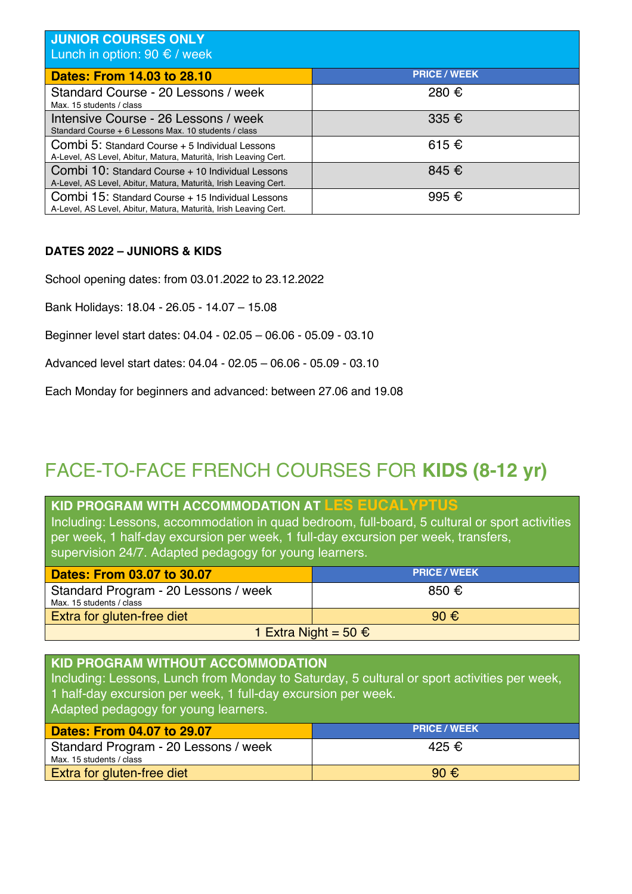| JUNIOR COURSES ONLY<br>Lunch in option: 90 $\epsilon$ / week                                                          |                     |
|-----------------------------------------------------------------------------------------------------------------------|---------------------|
| Dates: From 14.03 to 28.10                                                                                            | <b>PRICE / WEEK</b> |
| Standard Course - 20 Lessons / week<br>Max. 15 students / class                                                       | 280 €               |
| Intensive Course - 26 Lessons / week<br>Standard Course + 6 Lessons Max. 10 students / class                          | 335 $\epsilon$      |
| Combi 5: Standard Course + 5 Individual Lessons<br>A-Level, AS Level, Abitur, Matura, Maturità, Irish Leaving Cert.   | 615€                |
| Combi 10: Standard Course + 10 Individual Lessons<br>A-Level, AS Level, Abitur, Matura, Maturità, Irish Leaving Cert. | 845 €               |
| Combi 15: Standard Course + 15 Individual Lessons<br>A-Level, AS Level, Abitur, Matura, Maturità, Irish Leaving Cert. | 995 €               |

#### **DATES 2022 – JUNIORS & KIDS**

School opening dates: from 03.01.2022 to 23.12.2022

Bank Holidays: 18.04 - 26.05 - 14.07 – 15.08

Beginner level start dates: 04.04 - 02.05 – 06.06 - 05.09 - 03.10

Advanced level start dates: 04.04 - 02.05 – 06.06 - 05.09 - 03.10

Each Monday for beginners and advanced: between 27.06 and 19.08

### FACE-TO-FACE FRENCH COURSES FOR **KIDS (8-12 yr)**

### **KID PROGRAM WITH ACCOMMODATION AT LES EUCALYPTUS**

Including: Lessons, accommodation in quad bedroom, full-board, 5 cultural or sport activities per week, 1 half-day excursion per week, 1 full-day excursion per week, transfers, supervision 24/7. Adapted pedagogy for young learners.

| Dates: From 03.07 to 30.07                                       | <b>PRICE / WEEK</b> |  |
|------------------------------------------------------------------|---------------------|--|
| Standard Program - 20 Lessons / week<br>Max. 15 students / class | $850 \in$           |  |
| $90 \text{ } \in$<br>Extra for gluten-free diet                  |                     |  |
| 1 Extra Night = 50 €                                             |                     |  |

### **KID PROGRAM WITHOUT ACCOMMODATION**  Including: Lessons, Lunch from Monday to Saturday, 5 cultural or sport activities per week, 1 half-day excursion per week, 1 full-day excursion per week. Adapted pedagogy for young learners. **Dates: From 04.07 to 29.07 PRICE / WEEK**

| <u> Dates: From 04.07 to 29.07</u>   | <b>PRICE / WEEK</b> |
|--------------------------------------|---------------------|
| Standard Program - 20 Lessons / week | 425 €               |
| Max. 15 students / class             |                     |
| Extra for gluten-free diet           | 90 $\epsilon$       |